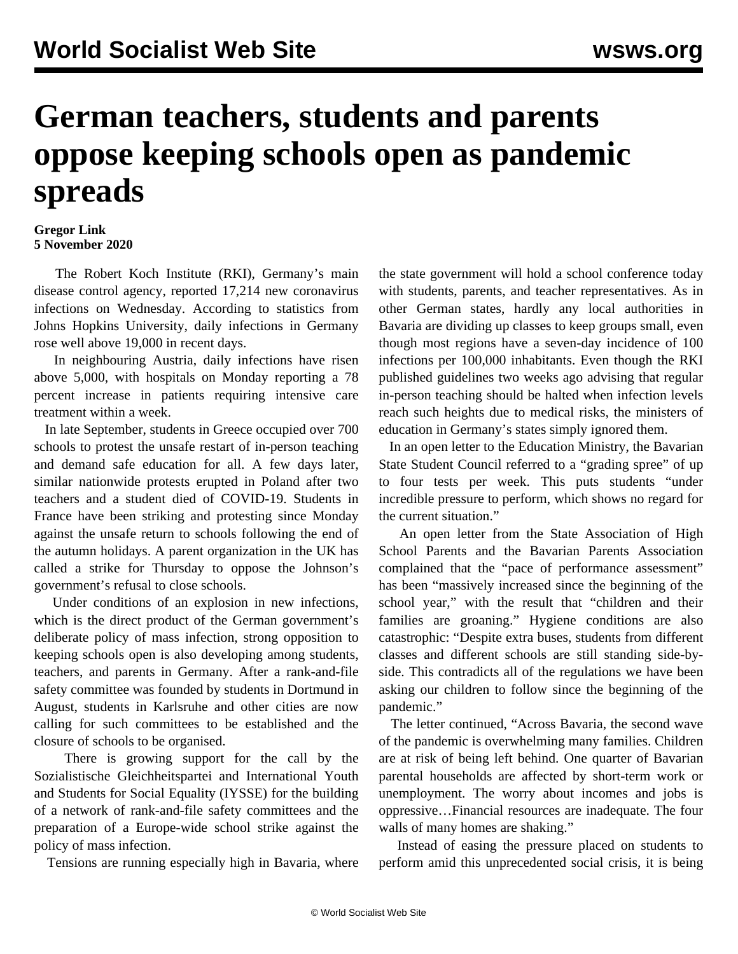## **German teachers, students and parents oppose keeping schools open as pandemic spreads**

## **Gregor Link 5 November 2020**

 The Robert Koch Institute (RKI), Germany's main disease control agency, reported 17,214 new coronavirus infections on Wednesday. According to statistics from Johns Hopkins University, daily infections in Germany rose well above 19,000 in recent days.

 In neighbouring Austria, daily infections have risen above 5,000, with hospitals on Monday reporting a 78 percent increase in patients requiring intensive care treatment within a week.

 In late September, students in Greece occupied over 700 schools to protest the unsafe restart of in-person teaching and demand safe education for all. A few days later, similar nationwide protests erupted in Poland after two teachers and a student died of COVID-19. Students in France have been striking and protesting since Monday against the unsafe return to schools following the end of the autumn holidays. A parent organization in the UK has called a strike for Thursday to oppose the Johnson's government's refusal to close schools.

 Under conditions of an explosion in new infections, which is the direct product of the German government's deliberate policy of mass infection, strong opposition to keeping schools open is also developing among students, teachers, and parents in Germany. After a rank-and-file safety committee was founded by students in Dortmund in August, students in Karlsruhe and other cities are now calling for such committees to be established and the closure of schools to be organised.

 There is growing support for the call by the Sozialistische Gleichheitspartei and International Youth and Students for Social Equality (IYSSE) for the building of a network of rank-and-file safety committees and the preparation of a Europe-wide school strike against the policy of mass infection.

Tensions are running especially high in Bavaria, where

the state government will hold a school conference today with students, parents, and teacher representatives. As in other German states, hardly any local authorities in Bavaria are dividing up classes to keep groups small, even though most regions have a seven-day incidence of 100 infections per 100,000 inhabitants. Even though the RKI published guidelines two weeks ago advising that regular in-person teaching should be halted when infection levels reach such heights due to medical risks, the ministers of education in Germany's states simply ignored them.

 In an open letter to the Education Ministry, the Bavarian State Student Council referred to a "grading spree" of up to four tests per week. This puts students "under incredible pressure to perform, which shows no regard for the current situation."

 An open letter from the State Association of High School Parents and the Bavarian Parents Association complained that the "pace of performance assessment" has been "massively increased since the beginning of the school year," with the result that "children and their families are groaning." Hygiene conditions are also catastrophic: "Despite extra buses, students from different classes and different schools are still standing side-byside. This contradicts all of the regulations we have been asking our children to follow since the beginning of the pandemic."

 The letter continued, "Across Bavaria, the second wave of the pandemic is overwhelming many families. Children are at risk of being left behind. One quarter of Bavarian parental households are affected by short-term work or unemployment. The worry about incomes and jobs is oppressive…Financial resources are inadequate. The four walls of many homes are shaking."

 Instead of easing the pressure placed on students to perform amid this unprecedented social crisis, it is being